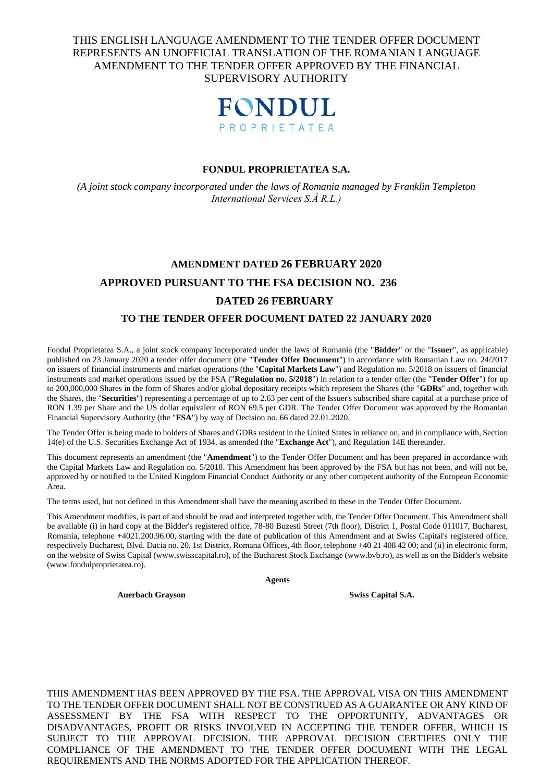## THIS ENGLISH LANGUAGE AMENDMENT TO THE TENDER OFFER DOCUMENT REPRESENTS AN UNOFFICIAL TRANSLATION OF THE ROMANIAN LANGUAGE AMENDMENT TO THE TENDER OFFER APPROVED BY THE FINANCIAL SUPERVISORY AUTHORITY



#### **FONDUL PROPRIETATEA S.A.**

*(A joint stock company incorporated under the laws of Romania managed by Franklin Templeton International Services S.À R.L.)*

# **AMENDMENT DATED 26 FEBRUARY 2020 APPROVED PURSUANT TO THE FSA DECISION NO. 236 DATED 26 FEBRUARY**

#### **TO THE TENDER OFFER DOCUMENT DATED 22 JANUARY 2020**

Fondul Proprietatea S.A., a joint stock company incorporated under the laws of Romania (the "**Bidder**" or the "**Issuer**", as applicable) published on 23 January 2020 a tender offer document (the "**Tender Offer Document**") in accordance with Romanian Law no. 24/2017 on issuers of financial instruments and market operations (the "**Capital Markets Law**") and Regulation no. 5/2018 on issuers of financial instruments and market operations issued by the FSA ("**Regulation no. 5/2018**") in relation to a tender offer (the "**Tender Offer**") for up to 200,000,000 Shares in the form of Shares and/or global depositary receipts which represent the Shares (the "**GDRs**" and, together with the Shares, the "**Securities**") representing a percentage of up to 2.63 per cent of the Issuer's subscribed share capital at a purchase price of RON 1.39 per Share and the US dollar equivalent of RON 69.5 per GDR. The Tender Offer Document was approved by the Romanian Financial Supervisory Authority (the "**FSA**") by way of Decision no. 66 dated 22.01.2020.

The Tender Offer is being made to holders of Shares and GDRs resident in the United States in reliance on, and in compliance with, Section 14(e) of the U.S. Securities Exchange Act of 1934, as amended (the "**Exchange Act**"), and Regulation 14E thereunder.

This document represents an amendment (the "**Amendment**") to the Tender Offer Document and has been prepared in accordance with the Capital Markets Law and Regulation no. 5/2018. This Amendment has been approved by the FSA but has not been, and will not be, approved by or notified to the United Kingdom Financial Conduct Authority or any other competent authority of the European Economic Area.

The terms used, but not defined in this Amendment shall have the meaning ascribed to these in the Tender Offer Document.

This Amendment modifies, is part of and should be read and interpreted together with, the Tender Offer Document. This Amendment shall be available (i) in hard copy at the Bidder's registered office, 78-80 Buzesti Street (7th floor), District 1, Postal Code 011017, Bucharest, Romania, telephone +4021.200.96.00, starting with the date of publication of this Amendment and at Swiss Capital's registered office, respectively Bucharest, Blvd. Dacia no. 20, 1st District, Romana Offices, 4th floor, telephone +40 21 408 42 00; and (ii) in electronic form, on the website of Swiss Capital (www.swisscapital.ro), of the Bucharest Stock Exchange (www.bvb.ro), as well as on the Bidder's website (www.fondulproprietatea.ro).

**Agents**

**Auerbach Grayson Swiss Capital S.A.**

THIS AMENDMENT HAS BEEN APPROVED BY THE FSA. THE APPROVAL VISA ON THIS AMENDMENT TO THE TENDER OFFER DOCUMENT SHALL NOT BE CONSTRUED AS A GUARANTEE OR ANY KIND OF ASSESSMENT BY THE FSA WITH RESPECT TO THE OPPORTUNITY, ADVANTAGES OR DISADVANTAGES, PROFIT OR RISKS INVOLVED IN ACCEPTING THE TENDER OFFER, WHICH IS SUBJECT TO THE APPROVAL DECISION. THE APPROVAL DECISION CERTIFIES ONLY THE COMPLIANCE OF THE AMENDMENT TO THE TENDER OFFER DOCUMENT WITH THE LEGAL REQUIREMENTS AND THE NORMS ADOPTED FOR THE APPLICATION THEREOF.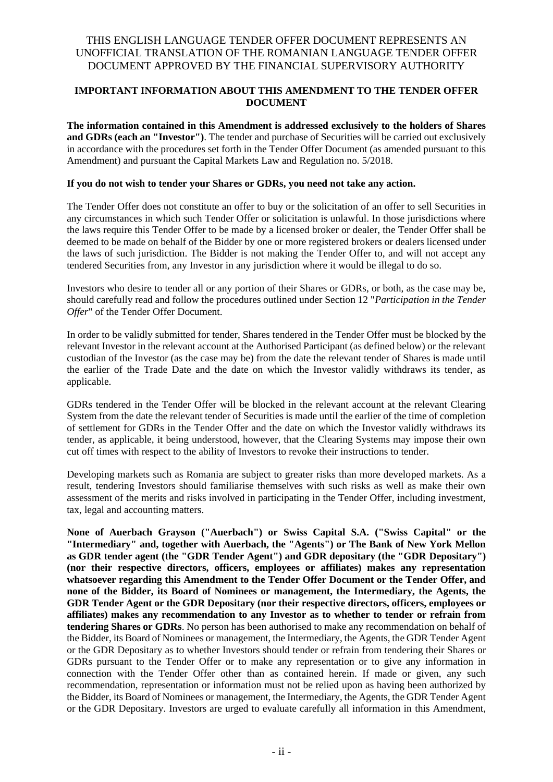## **IMPORTANT INFORMATION ABOUT THIS AMENDMENT TO THE TENDER OFFER DOCUMENT**

**The information contained in this Amendment is addressed exclusively to the holders of Shares and GDRs (each an "Investor")**. The tender and purchase of Securities will be carried out exclusively in accordance with the procedures set forth in the Tender Offer Document (as amended pursuant to this Amendment) and pursuant the Capital Markets Law and Regulation no. 5/2018.

#### **If you do not wish to tender your Shares or GDRs, you need not take any action.**

The Tender Offer does not constitute an offer to buy or the solicitation of an offer to sell Securities in any circumstances in which such Tender Offer or solicitation is unlawful. In those jurisdictions where the laws require this Tender Offer to be made by a licensed broker or dealer, the Tender Offer shall be deemed to be made on behalf of the Bidder by one or more registered brokers or dealers licensed under the laws of such jurisdiction. The Bidder is not making the Tender Offer to, and will not accept any tendered Securities from, any Investor in any jurisdiction where it would be illegal to do so.

Investors who desire to tender all or any portion of their Shares or GDRs, or both, as the case may be, should carefully read and follow the procedures outlined under Section 12 "*Participation in the Tender Offer*" of the Tender Offer Document.

In order to be validly submitted for tender, Shares tendered in the Tender Offer must be blocked by the relevant Investor in the relevant account at the Authorised Participant (as defined below) or the relevant custodian of the Investor (as the case may be) from the date the relevant tender of Shares is made until the earlier of the Trade Date and the date on which the Investor validly withdraws its tender, as applicable.

GDRs tendered in the Tender Offer will be blocked in the relevant account at the relevant Clearing System from the date the relevant tender of Securities is made until the earlier of the time of completion of settlement for GDRs in the Tender Offer and the date on which the Investor validly withdraws its tender, as applicable, it being understood, however, that the Clearing Systems may impose their own cut off times with respect to the ability of Investors to revoke their instructions to tender.

Developing markets such as Romania are subject to greater risks than more developed markets. As a result, tendering Investors should familiarise themselves with such risks as well as make their own assessment of the merits and risks involved in participating in the Tender Offer, including investment, tax, legal and accounting matters.

**None of Auerbach Grayson ("Auerbach") or Swiss Capital S.A. ("Swiss Capital" or the "Intermediary" and, together with Auerbach, the "Agents") or The Bank of New York Mellon as GDR tender agent (the "GDR Tender Agent") and GDR depositary (the "GDR Depositary") (nor their respective directors, officers, employees or affiliates) makes any representation whatsoever regarding this Amendment to the Tender Offer Document or the Tender Offer, and none of the Bidder, its Board of Nominees or management, the Intermediary, the Agents, the GDR Tender Agent or the GDR Depositary (nor their respective directors, officers, employees or affiliates) makes any recommendation to any Investor as to whether to tender or refrain from tendering Shares or GDRs**. No person has been authorised to make any recommendation on behalf of the Bidder, its Board of Nominees or management, the Intermediary, the Agents, the GDR Tender Agent or the GDR Depositary as to whether Investors should tender or refrain from tendering their Shares or GDRs pursuant to the Tender Offer or to make any representation or to give any information in connection with the Tender Offer other than as contained herein. If made or given, any such recommendation, representation or information must not be relied upon as having been authorized by the Bidder, its Board of Nominees or management, the Intermediary, the Agents, the GDR Tender Agent or the GDR Depositary. Investors are urged to evaluate carefully all information in this Amendment,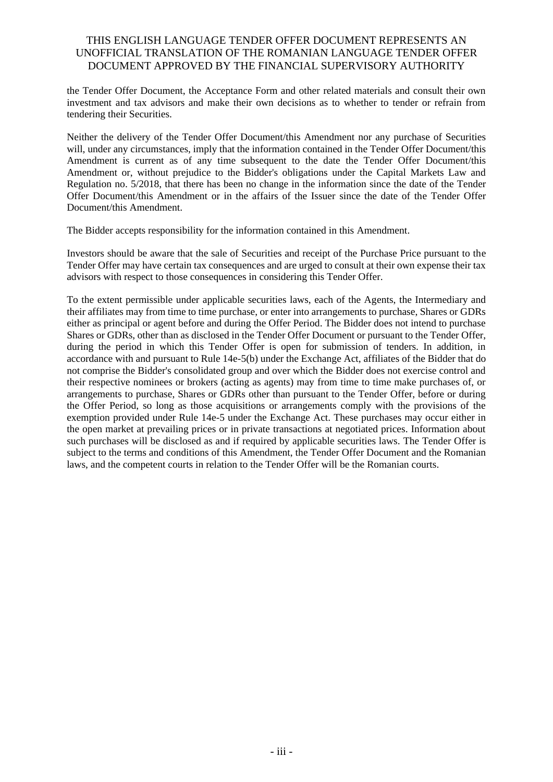the Tender Offer Document, the Acceptance Form and other related materials and consult their own investment and tax advisors and make their own decisions as to whether to tender or refrain from tendering their Securities.

Neither the delivery of the Tender Offer Document/this Amendment nor any purchase of Securities will, under any circumstances, imply that the information contained in the Tender Offer Document/this Amendment is current as of any time subsequent to the date the Tender Offer Document/this Amendment or, without prejudice to the Bidder's obligations under the Capital Markets Law and Regulation no. 5/2018, that there has been no change in the information since the date of the Tender Offer Document/this Amendment or in the affairs of the Issuer since the date of the Tender Offer Document/this Amendment.

The Bidder accepts responsibility for the information contained in this Amendment.

Investors should be aware that the sale of Securities and receipt of the Purchase Price pursuant to the Tender Offer may have certain tax consequences and are urged to consult at their own expense their tax advisors with respect to those consequences in considering this Tender Offer.

To the extent permissible under applicable securities laws, each of the Agents, the Intermediary and their affiliates may from time to time purchase, or enter into arrangements to purchase, Shares or GDRs either as principal or agent before and during the Offer Period. The Bidder does not intend to purchase Shares or GDRs, other than as disclosed in the Tender Offer Document or pursuant to the Tender Offer, during the period in which this Tender Offer is open for submission of tenders. In addition, in accordance with and pursuant to Rule 14e-5(b) under the Exchange Act, affiliates of the Bidder that do not comprise the Bidder's consolidated group and over which the Bidder does not exercise control and their respective nominees or brokers (acting as agents) may from time to time make purchases of, or arrangements to purchase, Shares or GDRs other than pursuant to the Tender Offer, before or during the Offer Period, so long as those acquisitions or arrangements comply with the provisions of the exemption provided under Rule 14e-5 under the Exchange Act. These purchases may occur either in the open market at prevailing prices or in private transactions at negotiated prices. Information about such purchases will be disclosed as and if required by applicable securities laws. The Tender Offer is subject to the terms and conditions of this Amendment, the Tender Offer Document and the Romanian laws, and the competent courts in relation to the Tender Offer will be the Romanian courts.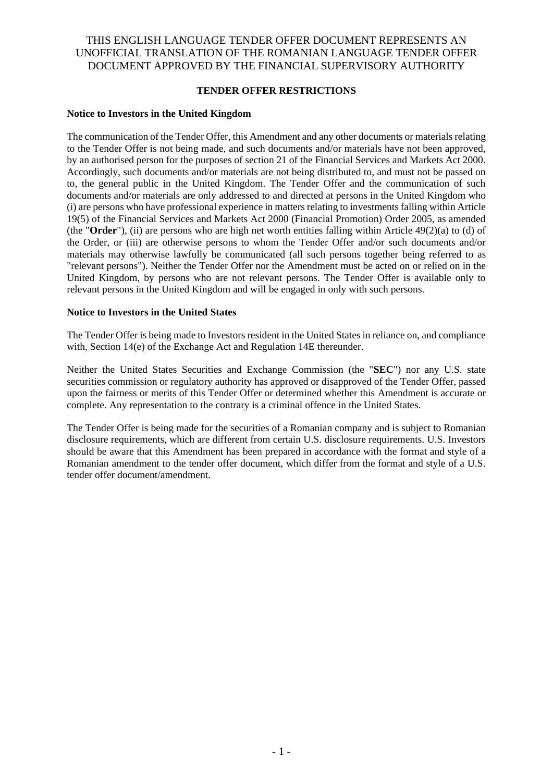## **TENDER OFFER RESTRICTIONS**

#### **Notice to Investors in the United Kingdom**

The communication of the Tender Offer, this Amendment and any other documents or materials relating to the Tender Offer is not being made, and such documents and/or materials have not been approved, by an authorised person for the purposes of section 21 of the Financial Services and Markets Act 2000. Accordingly, such documents and/or materials are not being distributed to, and must not be passed on to, the general public in the United Kingdom. The Tender Offer and the communication of such documents and/or materials are only addressed to and directed at persons in the United Kingdom who (i) are persons who have professional experience in matters relating to investments falling within Article 19(5) of the Financial Services and Markets Act 2000 (Financial Promotion) Order 2005, as amended (the "**Order**"), (ii) are persons who are high net worth entities falling within Article 49(2)(a) to (d) of the Order, or (iii) are otherwise persons to whom the Tender Offer and/or such documents and/or materials may otherwise lawfully be communicated (all such persons together being referred to as "relevant persons"). Neither the Tender Offer nor the Amendment must be acted on or relied on in the United Kingdom, by persons who are not relevant persons. The Tender Offer is available only to relevant persons in the United Kingdom and will be engaged in only with such persons.

#### **Notice to Investors in the United States**

The Tender Offer is being made to Investors resident in the United States in reliance on, and compliance with, Section 14(e) of the Exchange Act and Regulation 14E thereunder.

Neither the United States Securities and Exchange Commission (the "**SEC**") nor any U.S. state securities commission or regulatory authority has approved or disapproved of the Tender Offer, passed upon the fairness or merits of this Tender Offer or determined whether this Amendment is accurate or complete. Any representation to the contrary is a criminal offence in the United States.

The Tender Offer is being made for the securities of a Romanian company and is subject to Romanian disclosure requirements, which are different from certain U.S. disclosure requirements. U.S. Investors should be aware that this Amendment has been prepared in accordance with the format and style of a Romanian amendment to the tender offer document, which differ from the format and style of a U.S. tender offer document/amendment.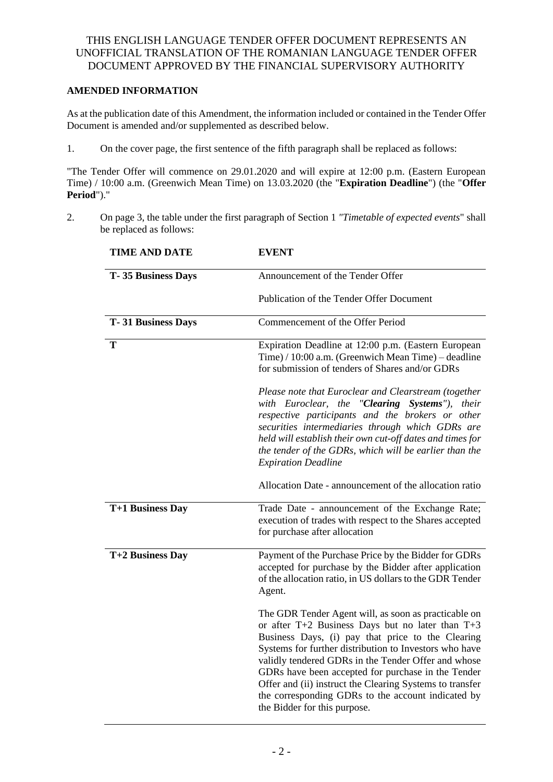## **AMENDED INFORMATION**

As at the publication date of this Amendment, the information included or contained in the Tender Offer Document is amended and/or supplemented as described below.

1. On the cover page, the first sentence of the fifth paragraph shall be replaced as follows:

"The Tender Offer will commence on 29.01.2020 and will expire at 12:00 p.m. (Eastern European Time) / 10:00 a.m. (Greenwich Mean Time) on 13.03.2020 (the "**Expiration Deadline**") (the "**Offer Period**")."

2. On page 3, the table under the first paragraph of Section 1 *"Timetable of expected events*" shall be replaced as follows:

| <b>TIME AND DATE</b>      | <b>EVENT</b>                                                                                                                                                                                                                                                                                                                                                                                                                                                                               |
|---------------------------|--------------------------------------------------------------------------------------------------------------------------------------------------------------------------------------------------------------------------------------------------------------------------------------------------------------------------------------------------------------------------------------------------------------------------------------------------------------------------------------------|
| <b>T-35 Business Days</b> | Announcement of the Tender Offer                                                                                                                                                                                                                                                                                                                                                                                                                                                           |
|                           | Publication of the Tender Offer Document                                                                                                                                                                                                                                                                                                                                                                                                                                                   |
| <b>T-31 Business Days</b> | Commencement of the Offer Period                                                                                                                                                                                                                                                                                                                                                                                                                                                           |
| T                         | Expiration Deadline at 12:00 p.m. (Eastern European<br>Time) / 10:00 a.m. (Greenwich Mean Time) – deadline<br>for submission of tenders of Shares and/or GDRs                                                                                                                                                                                                                                                                                                                              |
|                           | Please note that Euroclear and Clearstream (together<br>with Euroclear, the "Clearing Systems"), their<br>respective participants and the brokers or other<br>securities intermediaries through which GDRs are<br>held will establish their own cut-off dates and times for<br>the tender of the GDRs, which will be earlier than the<br><b>Expiration Deadline</b>                                                                                                                        |
|                           | Allocation Date - announcement of the allocation ratio                                                                                                                                                                                                                                                                                                                                                                                                                                     |
| T+1 Business Day          | Trade Date - announcement of the Exchange Rate;<br>execution of trades with respect to the Shares accepted<br>for purchase after allocation                                                                                                                                                                                                                                                                                                                                                |
| T+2 Business Day          | Payment of the Purchase Price by the Bidder for GDRs<br>accepted for purchase by the Bidder after application<br>of the allocation ratio, in US dollars to the GDR Tender<br>Agent.                                                                                                                                                                                                                                                                                                        |
|                           | The GDR Tender Agent will, as soon as practicable on<br>or after $T+2$ Business Days but no later than $T+3$<br>Business Days, (i) pay that price to the Clearing<br>Systems for further distribution to Investors who have<br>validly tendered GDRs in the Tender Offer and whose<br>GDRs have been accepted for purchase in the Tender<br>Offer and (ii) instruct the Clearing Systems to transfer<br>the corresponding GDRs to the account indicated by<br>the Bidder for this purpose. |